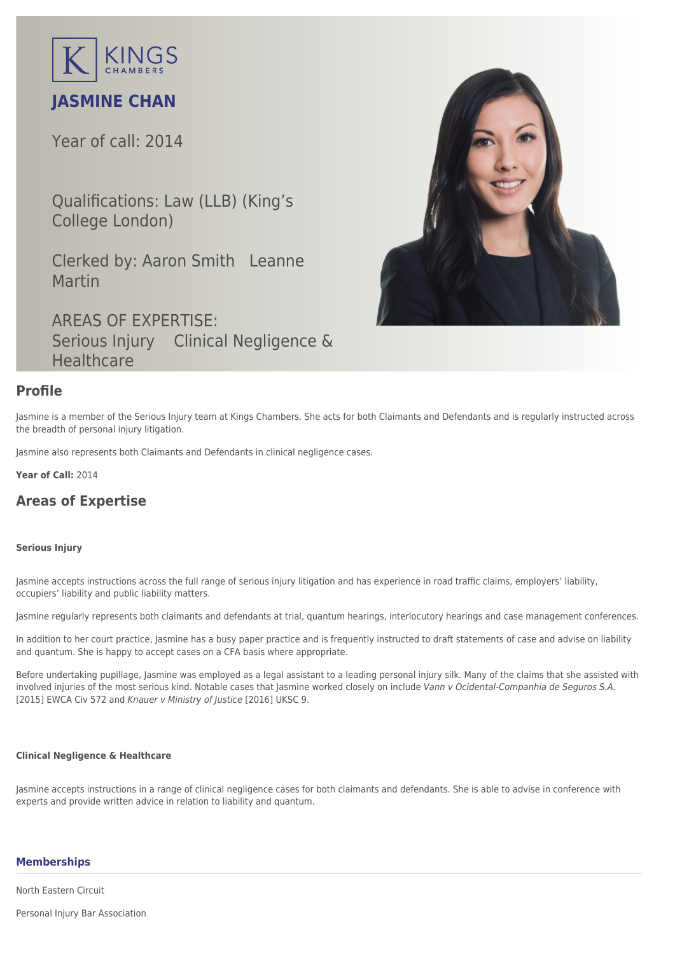

# **JASMINE CHAN**

Year of call: 2014

Qualifications: Law (LLB) (King's College London)

Clerked by: [Aaron Smith](mailto:asmith@kingschambers.com) [Leanne](mailto:leanne.martin@kingschambers.com) [Martin](mailto:leanne.martin@kingschambers.com)

AREAS OF EXPERTISE: Serious Injury Clinical Negligence & **Healthcare** 

# **Profile**

Jasmine is a member of the [Serious Injury](https://www.kingschambers.com/connectors/areas-of-expertise/personal-injury-and-clinical-negligence-team/serious-injury/) team at Kings Chambers. She acts for both Claimants and Defendants and is regularly instructed across the breadth of personal injury litigation.

Jasmine also represents both Claimants and Defendants in clinical negligence cases.

**Year of Call:** 2014

# **Areas of Expertise**

#### **[Serious Injury](#page--1-0)**

Jasmine accepts instructions across the full range of serious injury litigation and has experience in road traffic claims, employers' liability, occupiers' liability and public liability matters.

Jasmine regularly represents both claimants and defendants at trial, quantum hearings, interlocutory hearings and case management conferences.

In addition to her court practice, Jasmine has a busy paper practice and is frequently instructed to draft statements of case and advise on liability and quantum. She is happy to accept cases on a CFA basis where appropriate.

Before undertaking pupillage, Jasmine was employed as a legal assistant to a leading personal injury silk. Many of the claims that she assisted with involved injuries of the most serious kind. Notable cases that Jasmine worked closely on include Vann v Ocidental-Companhia de Seguros S.A. [2015] EWCA Civ 572 and Knauer v Ministry of Justice [2016] UKSC 9.

#### **[Clinical Negligence & Healthcare](#page--1-0)**

Jasmine accepts instructions in a range of clinical negligence cases for both claimants and defendants. She is able to advise in conference with experts and provide written advice in relation to liability and quantum.

### **Memberships**

North Eastern Circuit

Personal Injury Bar Association